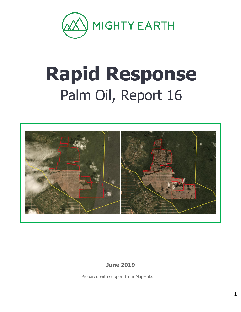

# **Rapid Response** Palm Oil, Report 16



**June 2019**

Prepared with support from MapHubs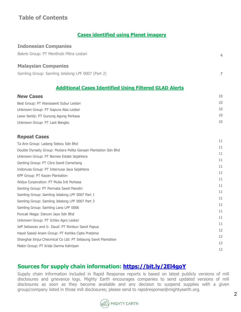# **Table of Contents**

#### **Cases identified using Planet imagery**

| <b>Indonesian Companies</b>                                   |            |
|---------------------------------------------------------------|------------|
| Bakrie Group: PT Menthobi Mitra Lestari                       | 4          |
| <b>Malaysian Companies</b>                                    |            |
| Samling Group: Samling Jelalong LPF 0007 (Part 2)             | 7          |
| <b>Additional Cases Identified Using Filtered GLAD Alerts</b> |            |
| <b>New Cases</b>                                              | 10         |
| Best Group: PT Wanasawit Subur Lestari                        | 10         |
| Unknown Group: PT Gapura Alas Lestari                         | 10         |
| Leow family: PT Gunung Agung Perkasa                          | 10         |
| Unknown Group: PT Laot Bangko                                 | 10         |
| <b>Repeat Cases</b>                                           |            |
| Ta Ann Group: Ladang Selezu Sdn Bhd                           | 11<br>$-1$ |

| Double Dynasty Group: Mutiara Pelita Genaan Plantation Sdn Bhd | 11 |
|----------------------------------------------------------------|----|
| Unknown Group: PT Borneo Estate Sejahtera                      | 11 |
| Genting Group: PT Citra Sawit Cemerlang                        | 11 |
| Indonusa Group: PT Internusa Jaya Sejahtera                    | 11 |
| KPP Group: PT Kayan Plantation                                 | 11 |
| Widya Corporation: PT Mulia Inti Perkasa                       | 11 |
| Genting Group: PT Permata Sawit Mandiri                        | 11 |
| Samling Group: Samling Jelalong LPF 0007 Part 1                | 11 |
| Samling Group: Samling Jelalong LPF 0007 Part 3                | 11 |
| Samling Group: Samling Lana LPF 0006                           | 11 |
| Puncak Niaga: Danum Jaya Sdn Bhd                               | 11 |
| Unknown Group: PT Ichiko Agro Lestari                          | 11 |
| Jeff Setiawan and Ir. Daud: PT Rimbun Sawit Papua              | 11 |
| Hayel Saeed Anam Group: PT Kartika Cipta Pratama               | 12 |
| Shanghai Xinjui Checmical Co Ltd: PT Sebaung Sawit Plantation  | 12 |
| Makin Group: PT Krida Darma Kahripan                           | 12 |
|                                                                | 12 |

# **Sources for supply chain information:<https://bit.ly/2El4goY>**

Supply chain information included in Rapid Response reports is based on latest publicly versions of mill disclosures and grievance logs. Mighty Earth encourages companies to send updated versions of mill disclosures as soon as they become available and any decision to suspend supplies with a given group/company listed in those mill disclosures; please send to rapidresponse@mightyearth.org.

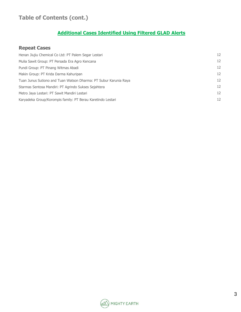# **Table of Contents (cont.)**

# **Additional Cases Identified Using Filtered GLAD Alerts**

#### **Repeat Cases**

| Henan Jiujiu Chemical Co Ltd: PT Palem Segar Lestari             | 12 |
|------------------------------------------------------------------|----|
| Mulia Sawit Group: PT Persada Era Agro Kencana                   | 12 |
| Pundi Group: PT Pinang Witmas Abadi                              | 12 |
| Makin Group: PT Krida Darma Kahuripan                            | 12 |
| Tuan Junus Sutiono and Tuan Watson Dharma: PT Subur Karunia Raya | 12 |
| Starmas Sentosa Mandiri: PT Agrindo Sukses Sejahtera             | 12 |
| Metro Jaya Lestari: PT Sawit Mandiri Lestari                     | 12 |
| Karyadeka Group/Korompis family: PT Berau Karetindo Lestari      | 12 |

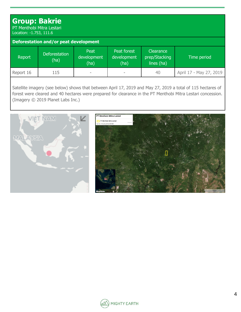## **Group: Bakrie** PT Menthobi Mitra Lestari

Location: -1.753, 111.6

| Deforestation and/or peat development |                              |                             |                                    |                                          |                         |  |  |  |
|---------------------------------------|------------------------------|-----------------------------|------------------------------------|------------------------------------------|-------------------------|--|--|--|
| Report                                | <b>Deforestation</b><br>(ha) | Peat<br>development<br>(ha) | Peat forest<br>development<br>(ha) | Clearance<br>prep/Stacking<br>lines (ha) | Time period             |  |  |  |
| Report 16                             | 115                          |                             |                                    | 40                                       | April 17 - May 27, 2019 |  |  |  |

Satellite imagery (see below) shows that between April 17, 2019 and May 27, 2019 a total of 115 hectares of forest were cleared and 40 hectares were prepared for clearance in the PT Menthobi Mitra Lestari concession. (Imagery © 2019 Planet Labs Inc.)





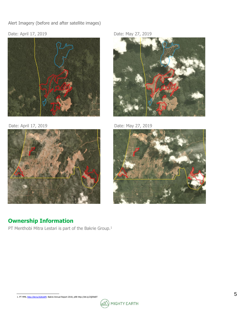#### Alert Imagery (before and after satellite images)

#### Date: April 17, 2019 **Date: May 27, 2019**





# **Ownership Information**

PT Menthobi Mitra Lestari is part of the Bakrie Group.<sup>1</sup>



Date: April 17, 2019 **Date: May 27, 2019** 



<sup>1.</sup> PT MML [http://bit.ly/2QAJxlM;](http://bit.ly/2QAJxlM) Bakrie Annual Report 2018, p98 http://bit.ly/2QE9d0T

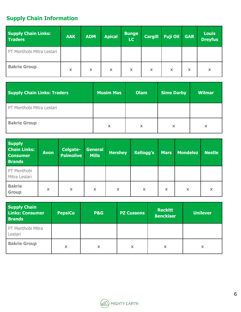# **Supply Chain Information**

| <b>Supply Chain Links:</b><br><b>Traders</b> | <b>AAK</b> | <b>ADM</b> | <b>Apical</b>             | <b>Bunge</b><br><b>LC</b> | <b>Cargill</b>            | <b>Fuji Oil</b> | <b>GAR</b> | <b>Louis</b><br><b>Dreyfus</b> |
|----------------------------------------------|------------|------------|---------------------------|---------------------------|---------------------------|-----------------|------------|--------------------------------|
| PT Menthobi Mitra Lestari                    |            |            |                           |                           |                           |                 |            |                                |
| <b>Bakrie Group</b>                          | x          | x          | $\boldsymbol{\mathsf{x}}$ | X                         | $\boldsymbol{\mathsf{x}}$ | $\mathbf x$     | x          | x                              |

| <b>Supply Chain Links: Traders</b> | <b>Musim Mas</b> | <b>Olam</b> | <b>Sime Darby</b> | <b>Wilmar</b> |
|------------------------------------|------------------|-------------|-------------------|---------------|
| PT Menthobi Mitra Lestari          |                  |             |                   |               |
| <b>Bakrie Group</b>                | X                | X           | X                 | x             |

| <b>Supply</b><br><b>Chain Links:</b><br><b>Consumer</b><br><b>Brands</b> | <b>Avon</b> | Colgate-<br><b>Palmolive</b> | General<br><b>Mills</b> | <b>Hershey</b> | <b>Kellogg's</b>          | <b>Mars</b>               | <b>Mondelez</b> | <b>Nestle</b>             |
|--------------------------------------------------------------------------|-------------|------------------------------|-------------------------|----------------|---------------------------|---------------------------|-----------------|---------------------------|
| PT Menthobi<br>Mitra Lestari                                             |             |                              |                         |                |                           |                           |                 |                           |
| <b>Bakrie</b><br><b>Group</b>                                            | X           | X                            | X                       | X              | $\boldsymbol{\mathsf{x}}$ | $\boldsymbol{\mathsf{x}}$ | X               | $\boldsymbol{\mathsf{x}}$ |

| <b>Supply Chain</b><br><b>Links: Consumer</b><br><b>Brands</b> | <b>PepsiCo</b> | <b>P&amp;G</b> | PZ Cussons | <b>Reckitt</b><br><b>Benckiser</b> | <b>Unilever</b> |
|----------------------------------------------------------------|----------------|----------------|------------|------------------------------------|-----------------|
| PT Menthobi Mitra<br>Lestari                                   |                |                |            |                                    |                 |
| <b>Bakrie Group</b>                                            | X              | X              | X          | x                                  | x               |

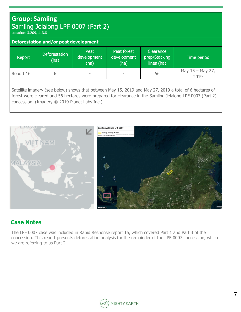# **Group: Samling** Samling Jelalong LPF 0007 (Part 2)

Location: 3.209, 113.8

| Deforestation and/or peat development |                              |                             |                                    |                                           |                          |  |  |  |
|---------------------------------------|------------------------------|-----------------------------|------------------------------------|-------------------------------------------|--------------------------|--|--|--|
| Report                                | <b>Deforestation</b><br>(ha) | Peat<br>development<br>(ha) | Peat forest<br>development<br>(ha) | Clearance,<br>prep/Stacking<br>lines (ha) | Time period              |  |  |  |
| Report 16                             | b                            | ۰                           | -                                  | 56                                        | May 15 - May 27,<br>2019 |  |  |  |
|                                       |                              |                             |                                    |                                           |                          |  |  |  |

Satellite imagery (see below) shows that between May 15, 2019 and May 27, 2019 a total of 6 hectares of forest were cleared and 56 hectares were prepared for clearance in the Samling Jelalong LPF 0007 (Part 2) concession. (Imagery © 2019 Planet Labs Inc.)



## **Case Notes**

The LPF 0007 case was included in Rapid Response report 15, which covered Part 1 and Part 3 of the concession. This report presents deforestation analysis for the remainder of the LPF 0007 concession, which we are referring to as Part 2.

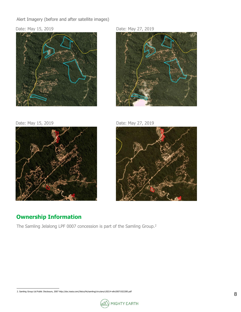Alert Imagery (before and after satellite images)

#### Date: May 15, 2019 Date: May 27, 2019





Date: May 15, 2019 Date: May 27, 2019







# **Ownership Information**

The Samling Jelalong LPF 0007 concession is part of the Samling Group.<sup>2</sup>

<sup>2.</sup> Samling Group Ltd Public Disclosure, 2007 http://doc.irasia.com//listco/hk/samling/circulars/c20214-eltn20071022285.pdf

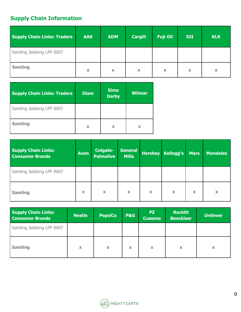# **Supply Chain Information**

| <b>Supply Chain Links: Traders</b> | <b>AAK</b>                | <b>ADM</b>  | <b>Cargill</b> | <b>Fuji Oil</b>           | <b>IOI</b>  | <b>KLK</b> |
|------------------------------------|---------------------------|-------------|----------------|---------------------------|-------------|------------|
| Samling Jelalong LPF 0007          |                           |             |                |                           |             |            |
| <b>Samling</b>                     | $\boldsymbol{\mathsf{x}}$ | $\mathbf x$ | $\mathbf x$    | $\boldsymbol{\mathsf{x}}$ | $\mathbf x$ | x          |

| <b>Supply Chain Links: Traders</b> | <b>Olam</b> | <b>Sime</b><br><b>Darby</b> | <b>Wilmar</b> |
|------------------------------------|-------------|-----------------------------|---------------|
| Samling Jelalong LPF 0007          |             |                             |               |
| <b>Samling</b>                     | X           | x                           | x             |

| <b>Supply Chain Links:</b><br><b>Consumer Brands</b> | <b>Avon</b> | <b>Colgate-</b><br><b>Palmolive</b> | <b>General</b><br><b>Mills</b> |             | <b>Hershey Kellogg's</b> | <b>Mars</b> | <b>Mondelez</b> |
|------------------------------------------------------|-------------|-------------------------------------|--------------------------------|-------------|--------------------------|-------------|-----------------|
| Samling Jelalong LPF 0007                            |             |                                     |                                |             |                          |             |                 |
| <b>Samling</b>                                       | $\mathbf x$ | $\boldsymbol{\mathsf{x}}$           | X                              | $\mathbf x$ | $\mathbf x$              | $\mathbf x$ | $\mathbf x$     |

| <b>Supply Chain Links:</b><br><b>Consumer Brands</b> | <b>Nestle</b> | <b>PepsiCo</b> | <b>P&amp;G</b> | <b>PZ</b><br><b>Cussons</b> | <b>Reckitt</b><br><b>Benckiser</b> | <b>Unilever</b> |
|------------------------------------------------------|---------------|----------------|----------------|-----------------------------|------------------------------------|-----------------|
| Samling Jelalong LPF 0007                            |               |                |                |                             |                                    |                 |
| <b>Samling</b>                                       | $\mathbf x$   | $\mathbf x$    | x              | $\boldsymbol{\mathsf{x}}$   | x                                  | x               |

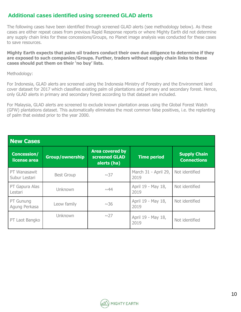## **Additional cases identified using screened GLAD alerts**

The following cases have been identified through screened GLAD alerts (see methodology below). As these cases are either repeat cases from previous Rapid Response reports or where Mighty Earth did not determine any supply chain links for these concessions/Groups, no Planet image analysis was conducted for these cases to save resources.

**Mighty Earth expects that palm oil traders conduct their own due diligence to determine if they are exposed to such companies/Groups. Further, traders without supply chain links to these cases should put them on their 'no buy' lists.**

Methodology:

For Indonesia, GLAD alerts are screened using the Indonesia Ministry of Forestry and the Environment land cover dataset for 2017 which classifies existing palm oil plantations and primary and secondary forest. Hence, only GLAD alerts in primary and secondary forest according to that dataset are included.

For Malaysia, GLAD alerts are screened to exclude known plantation areas using the Global Forest Watch (GFW) plantations dataset. This automatically eliminates the most common false positives, i.e. the replanting of palm that existed prior to the year 2000.

| <b>New Cases</b>                   |                        |                                                        |                              |                                           |  |
|------------------------------------|------------------------|--------------------------------------------------------|------------------------------|-------------------------------------------|--|
| <b>Concession/</b><br>license area | <b>Group/ownership</b> | <b>Area covered by</b><br>screened GLAD<br>alerts (ha) | <b>Time period</b>           | <b>Supply Chain</b><br><b>Connections</b> |  |
| PT Wanasawit<br>Subur Lestari      | <b>Best Group</b>      | $\sim$ 37                                              | March 31 - April 29,<br>2019 | Not identified                            |  |
| PT Gapura Alas<br>Lestari          | Unknown                | $\sim$ 44                                              | April 19 - May 18,<br>2019   | Not identified                            |  |
| PT Gunung<br>Agung Perkasa         | Leow family            | ~1sim36                                                | April 19 - May 18,<br>2019   | Not identified                            |  |
| PT Laot Bangko                     | Unknown                | $\sim$ 27                                              | April 19 - May 18,<br>2019   | Not identified                            |  |

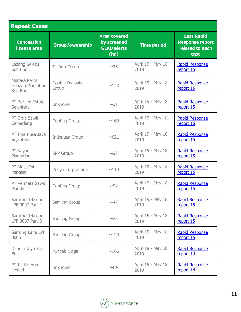| <b>Repeat Cases</b>                                   |                          |                                                                  |                            |                                                                        |  |
|-------------------------------------------------------|--------------------------|------------------------------------------------------------------|----------------------------|------------------------------------------------------------------------|--|
| <b>Concession</b><br>license area                     | Group/ownership          | <b>Area covered</b><br>by screened<br><b>GLAD alerts</b><br>(ha) | <b>Time period</b>         | <b>Last Rapid</b><br><b>Response report</b><br>related to each<br>case |  |
| Ladang Selezu<br>Sdn Bhd                              | Ta Ann Group             | $\sim$ 25                                                        | April 19 - May 18,<br>2019 | <b>Rapid Response</b><br>report 15                                     |  |
| Mutiara Pelita<br><b>Genaan Plantation</b><br>Sdn Bhd | Double Dynasty<br>Group  | ~123                                                             | April 19 - May 18,<br>2019 | <b>Rapid Response</b><br>report 15                                     |  |
| PT Borneo Estate<br>Sejahtera                         | Unknown                  | ~1sim31                                                          | April 19 - May 18,<br>2019 | <b>Rapid Response</b><br>report 15                                     |  |
| <b>PT Citra Sawit</b><br>Cemerlang                    | <b>Genting Group</b>     | ~169                                                             | April 19 - May 18,<br>2019 | <b>Rapid Response</b><br>report 15                                     |  |
| PT Internusa Jaya<br>Sejahtera                        | Indonusa Group           | ~0.621                                                           | April 19 - May 18,<br>2019 | <b>Rapid Response</b><br>report 15                                     |  |
| PT Kayan<br>Plantation                                | <b>KPP Group</b>         | $\sim$ 27                                                        | April 19 - May 18,<br>2019 | <b>Rapid Response</b><br>report 15                                     |  |
| PT Mulia Inti<br>Perkasa                              | <b>Widya Corporation</b> | ~119                                                             | April 19 - May 18,<br>2019 | <b>Rapid Response</b><br>report 15                                     |  |
| PT Permata Sawit<br>Mandiri                           | <b>Genting Group</b>     | ~100                                                             | April 19 - May 18,<br>2019 | <b>Rapid Response</b><br>report 15                                     |  |
| Samling Jelalong<br>LPF 0007 Part 1                   | Samling Group            | ~0.47                                                            | April 19 - May 18,<br>2019 | <b>Rapid Response</b><br>report 15                                     |  |
| Samling Jelalong<br>LPF 0007 Part 3                   | Samling Group            | $\sim$ 25                                                        | April 19 - May 18,<br>2019 | <b>Rapid Response</b><br>report 15                                     |  |
| Samling Lana LPF<br>0006                              | Samling Group            | ~129                                                             | April 19 - May 18,<br>2019 | <b>Rapid Response</b><br>report 15                                     |  |
| Danum Jaya Sdn<br><b>Bhd</b>                          | Puncak Niaga             | ~166                                                             | April 19 - May 18,<br>2019 | <b>Rapid Response</b><br>report 14                                     |  |
| PT Ichiko Agro<br>Lestari                             | <b>Unknown</b>           | ~0.64                                                            | April 19 - May 18,<br>2019 | <b>Rapid Response</b><br>report 14                                     |  |